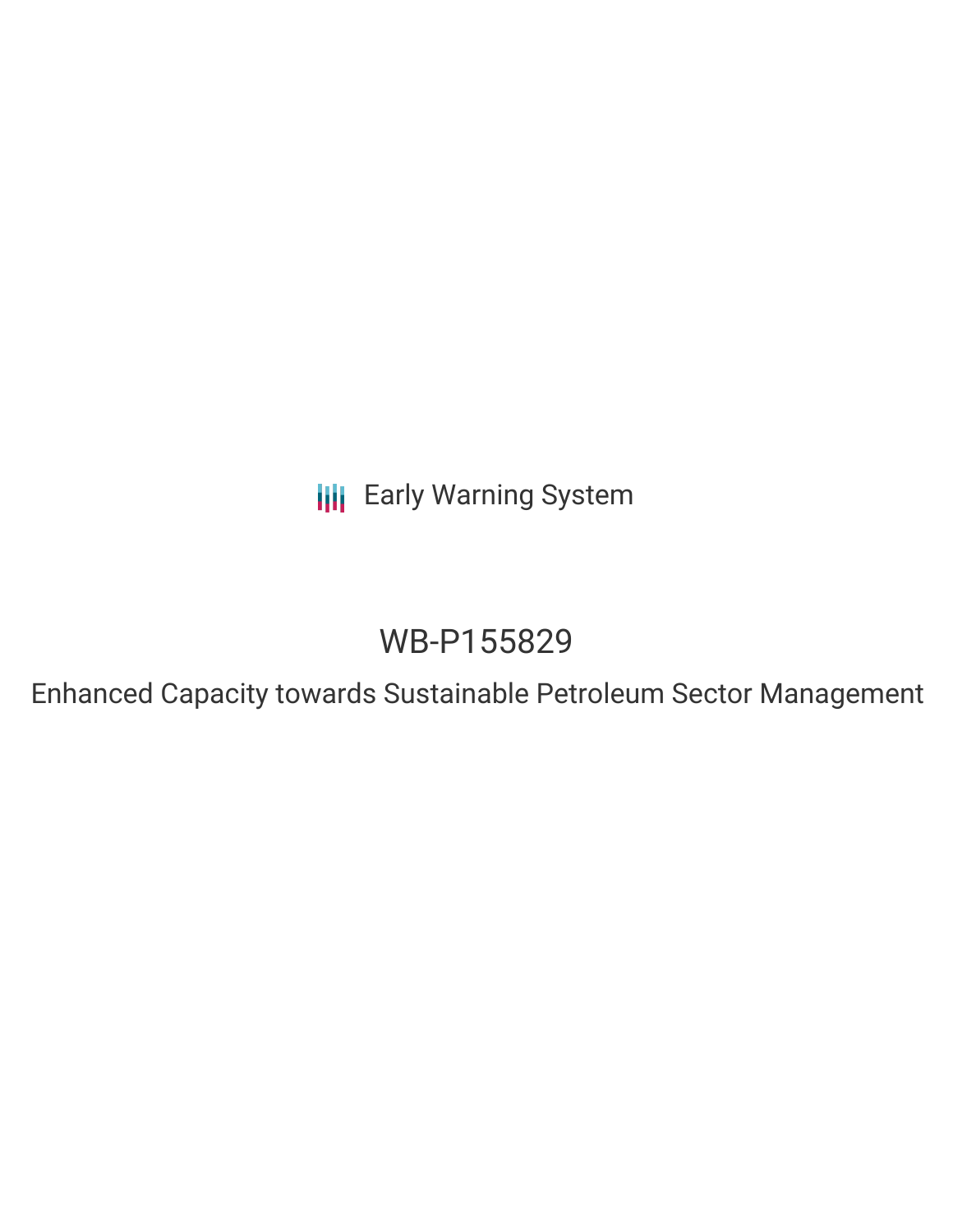**III** Early Warning System

# WB-P155829

Enhanced Capacity towards Sustainable Petroleum Sector Management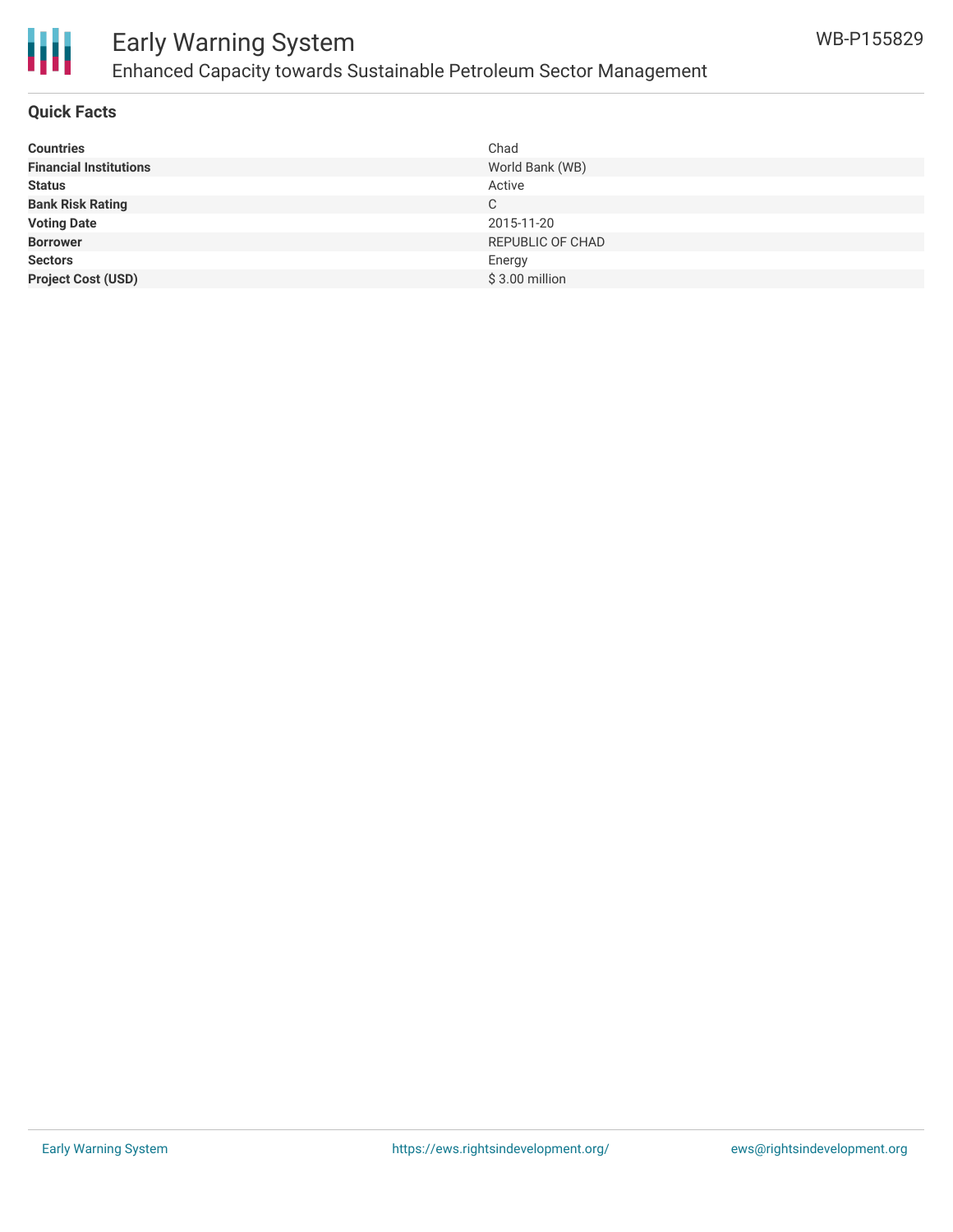

### Early Warning System Enhanced Capacity towards Sustainable Petroleum Sector Management

#### **Quick Facts**

| <b>Countries</b>              | Chad             |
|-------------------------------|------------------|
| <b>Financial Institutions</b> | World Bank (WB)  |
| <b>Status</b>                 | Active           |
| <b>Bank Risk Rating</b>       | C                |
| <b>Voting Date</b>            | 2015-11-20       |
| <b>Borrower</b>               | REPUBLIC OF CHAD |
| <b>Sectors</b>                | Energy           |
| <b>Project Cost (USD)</b>     | $$3.00$ million  |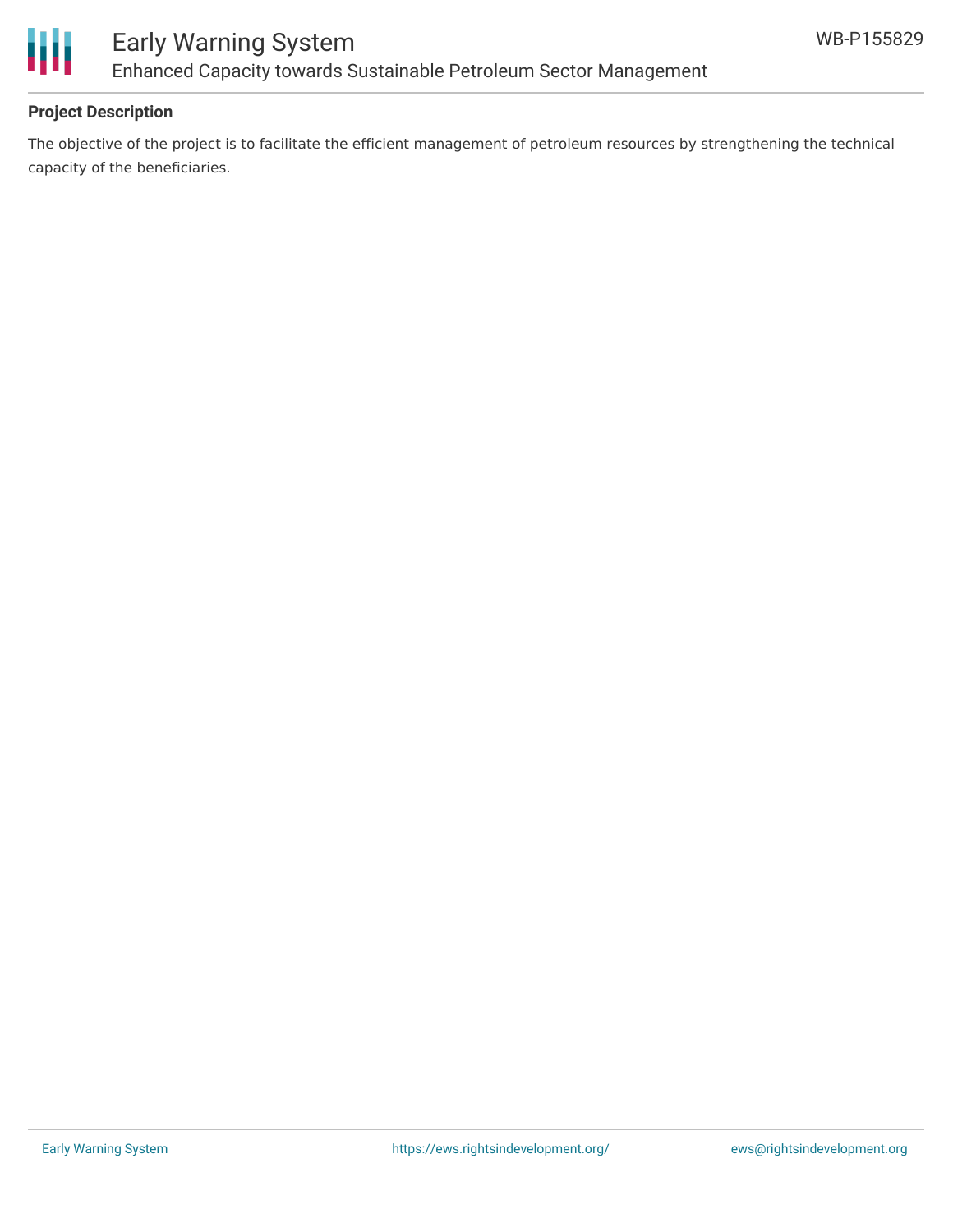

### Early Warning System Enhanced Capacity towards Sustainable Petroleum Sector Management

### **Project Description**

The objective of the project is to facilitate the efficient management of petroleum resources by strengthening the technical capacity of the beneficiaries.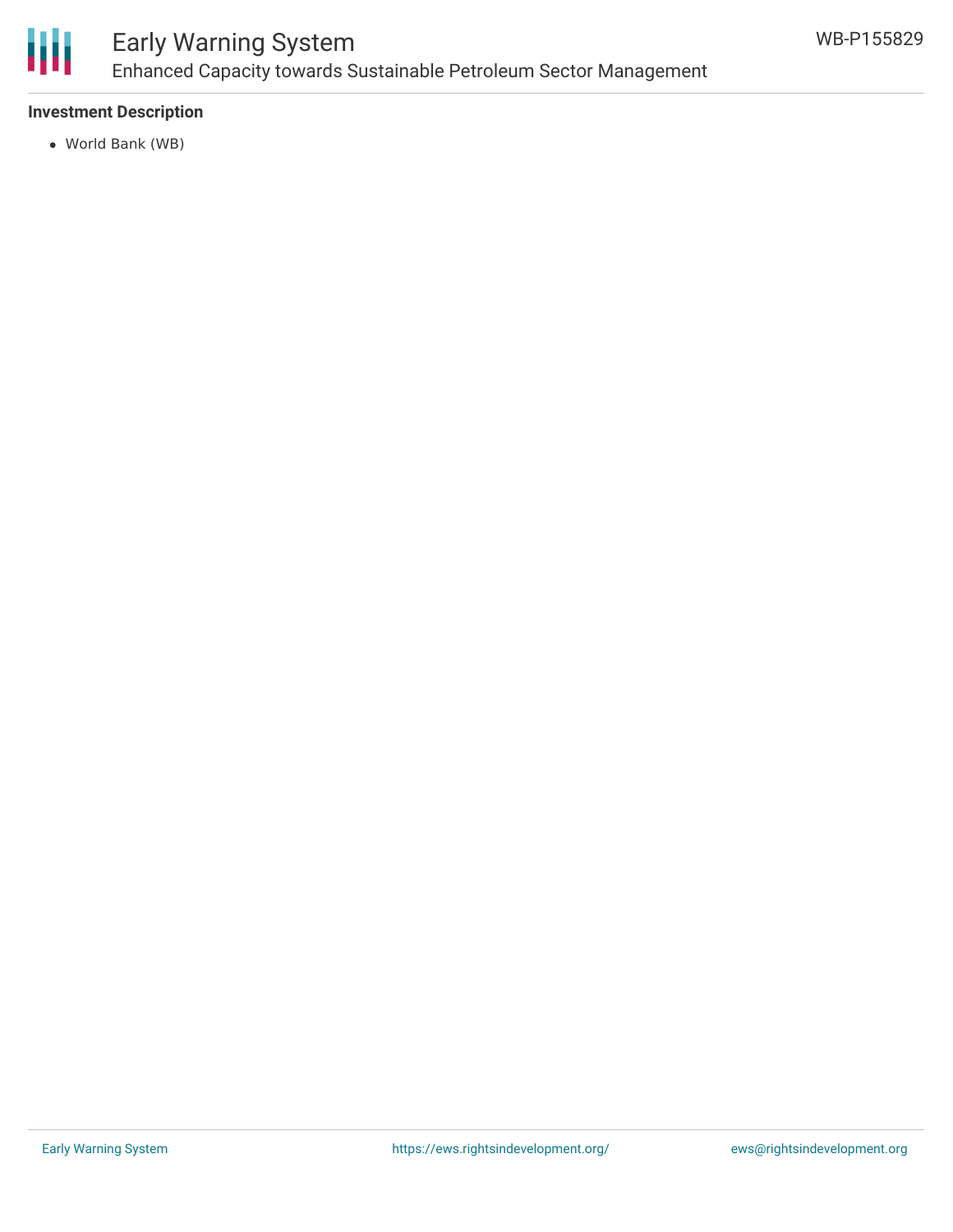

### Early Warning System Enhanced Capacity towards Sustainable Petroleum Sector Management

### **Investment Description**

World Bank (WB)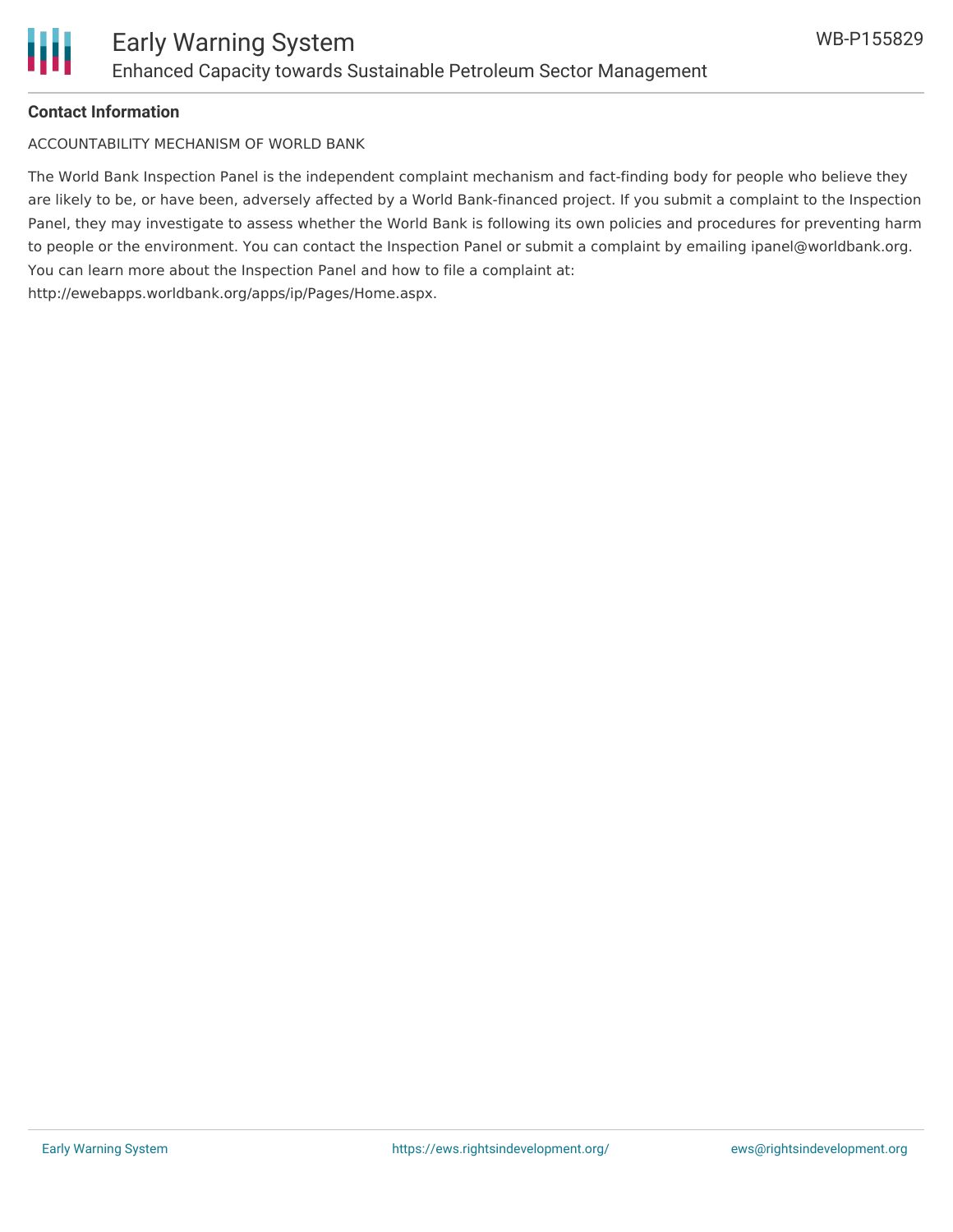

#### **Contact Information**

ACCOUNTABILITY MECHANISM OF WORLD BANK

The World Bank Inspection Panel is the independent complaint mechanism and fact-finding body for people who believe they are likely to be, or have been, adversely affected by a World Bank-financed project. If you submit a complaint to the Inspection Panel, they may investigate to assess whether the World Bank is following its own policies and procedures for preventing harm to people or the environment. You can contact the Inspection Panel or submit a complaint by emailing ipanel@worldbank.org. You can learn more about the Inspection Panel and how to file a complaint at: http://ewebapps.worldbank.org/apps/ip/Pages/Home.aspx.